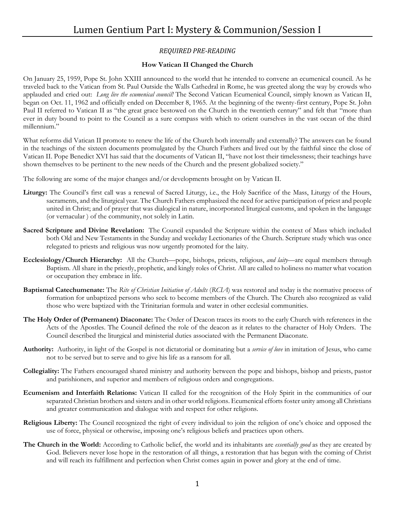## *REQUIRED PRE-READING*

## **How Vatican II Changed the Church**

On January 25, 1959, Pope St. John XXIII announced to the world that he intended to convene an ecumenical council. As he traveled back to the Vatican from St. Paul Outside the Walls Cathedral in Rome, he was greeted along the way by crowds who applauded and cried out: *Long live the ecumenical council!* The Second Vatican Ecumenical Council, simply known as Vatican II, began on Oct. 11, 1962 and officially ended on December 8, 1965. At the beginning of the twenty-first century, Pope St. John Paul II referred to Vatican II as "the great grace bestowed on the Church in the twentieth century" and felt that "more than ever in duty bound to point to the Council as a sure compass with which to orient ourselves in the vast ocean of the third millennium."

What reforms did Vatican II promote to renew the life of the Church both internally and externally? The answers can be found in the teachings of the sixteen documents promulgated by the Church Fathers and lived out by the faithful since the close of Vatican II. Pope Benedict XVI has said that the documents of Vatican II, "have not lost their timelessness; their teachings have shown themselves to be pertinent to the new needs of the Church and the present globalized society."

The following are some of the major changes and/or developments brought on by Vatican II.

- **Liturgy:** The Council's first call was a renewal of Sacred Liturgy, i.e., the Holy Sacrifice of the Mass, Liturgy of the Hours, sacraments, and the liturgical year. The Church Fathers emphasized the need for active participation of priest and people united in Christ; and of prayer that was dialogical in nature, incorporated liturgical customs, and spoken in the language (or vernacular ) of the community, not solely in Latin.
- **Sacred Scripture and Divine Revelation:** The Council expanded the Scripture within the context of Mass which included both Old and New Testaments in the Sunday and weekday Lectionaries of the Church. Scripture study which was once relegated to priests and religious was now urgently promoted for the laity.
- **Ecclesiology/Church Hierarchy:** All the Church—pope, bishops, priests, religious, *and laity*—are equal members through Baptism. All share in the priestly, prophetic, and kingly roles of Christ. All are called to holiness no matter what vocation or occupation they embrace in life.
- **Baptismal Catechumenate:** The *Rite of Christian Initiation of Adults* (*RCIA*) was restored and today is the normative process of formation for unbaptized persons who seek to become members of the Church. The Church also recognized as valid those who were baptized with the Trinitarian formula and water in other ecclesial communities.
- **The Holy Order of (Permanent) Diaconate:** The Order of Deacon traces its roots to the early Church with references in the Acts of the Apostles. The Council defined the role of the deacon as it relates to the character of Holy Orders. The Council described the liturgical and ministerial duties associated with the Permanent Diaconate.
- **Authority:** Authority, in light of the Gospel is not dictatorial or dominating but a *service of love* in imitation of Jesus, who came not to be served but to serve and to give his life as a ransom for all.
- **Collegiality:** The Fathers encouraged shared ministry and authority between the pope and bishops, bishop and priests, pastor and parishioners, and superior and members of religious orders and congregations.
- **Ecumenism and Interfaith Relations:** Vatican II called for the recognition of the Holy Spirit in the communities of our separated Christian brothers and sisters and in other world religions. Ecumenical efforts foster unity among all Christians and greater communication and dialogue with and respect for other religions.
- **Religious Liberty:** The Council recognized the right of every individual to join the religion of one's choice and opposed the use of force, physical or otherwise, imposing one's religious beliefs and practices upon others.
- **The Church in the World:** According to Catholic belief, the world and its inhabitants are *essentially good* as they are created by God. Believers never lose hope in the restoration of all things, a restoration that has begun with the coming of Christ and will reach its fulfillment and perfection when Christ comes again in power and glory at the end of time.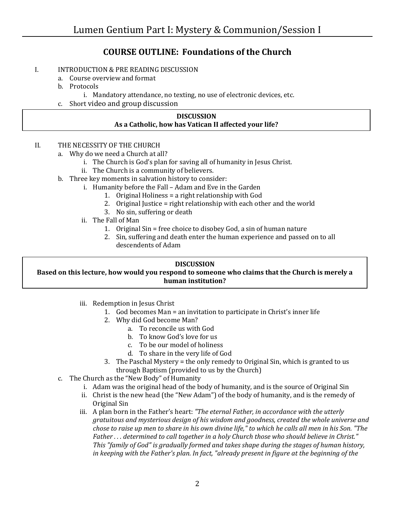# **COURSE OUTLINE: Foundations of the Church**

## I. INTRODUCTION & PRE READING DISCUSSION

- a. Course overview and format
- b. Protocols
	- i. Mandatory attendance, no texting, no use of electronic devices, etc.
- c. Short video and group discussion

#### **DISCUSSION As a Catholic, how has Vatican II affected your life?**

#### II. THE NECESSITY OF THE CHURCH

- a. Why do we need a Church at all?
	- i. The Church is God's plan for saving all of humanity in Jesus Christ.
	- ii. The Church is a community of believers.
- b. Three key moments in salvation history to consider:
	- i. Humanity before the Fall Adam and Eve in the Garden
		- 1. Original Holiness = a right relationship with God
		- 2. Original Justice = right relationship with each other and the world
		- 3. No sin, suffering or death
	- ii. The Fall of Man
		- 1. Original Sin = free choice to disobey God, a sin of human nature
		- 2. Sin, suffering and death enter the human experience and passed on to all descendents of Adam

#### **DISCUSSION**

## **Based on this lecture, how would you respond to someone who claims that the Church is merely a human institution?**

- iii. Redemption in Jesus Christ
	- 1. God becomes Man = an invitation to participate in Christ's inner life
	- 2. Why did God become Man?
		- a. To reconcile us with God
		- b. To know God's love for us
		- c. To be our model of holiness
		- d. To share in the very life of God
	- 3. The Paschal Mystery = the only remedy to Original Sin, which is granted to us through Baptism (provided to us by the Church)
- c. The Church as the "New Body" of Humanity
	- i. Adam was the original head of the body of humanity, and is the source of Original Sin
	- ii. Christ is the new head (the "New Adam") of the body of humanity, and is the remedy of Original Sin
	- iii. A plan born in the Father's heart: *"The eternal Father, in accordance with the utterly gratuitous and mysterious design of his wisdom and goodness, created the whole universe and chose to raise up men to share in his own divine life," to which he calls all men in his Son. "The Father . . . determined to call together in a holy Church those who should believe in Christ." This "family of God" is gradually formed and takes shape during the stages of human history, in keeping with the Father's plan. In fact, "already present in figure at the beginning of the*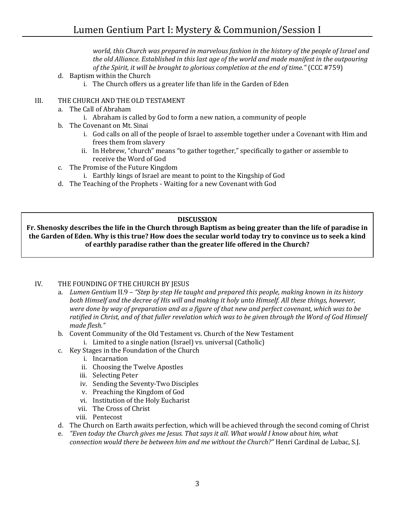*world, this Church was prepared in marvelous fashion in the history of the people of Israel and the old Alliance. Established in this last age of the world and made manifest in the outpouring of the Spirit, it will be brought to glorious completion at the end of time."* (CCC #759)

- d. Baptism within the Church
	- i. The Church offers us a greater life than life in the Garden of Eden

#### III. THE CHURCH AND THE OLD TESTAMENT

- a. The Call of Abraham
	- i. Abraham is called by God to form a new nation, a community of people
- b. The Covenant on Mt. Sinai
	- i. God calls on all of the people of Israel to assemble together under a Covenant with Him and frees them from slavery
	- ii. In Hebrew, "church" means "to gather together," specifically to gather or assemble to receive the Word of God
- c. The Promise of the Future Kingdom
	- i. Earthly kings of Israel are meant to point to the Kingship of God
- d. The Teaching of the Prophets Waiting for a new Covenant with God

#### **DISCUSSION**

**Fr. Shenosky describes the life in the Church through Baptism as being greater than the life of paradise in the Garden of Eden. Why is this true? How does the secular world today try to convince us to seek a kind of earthly paradise rather than the greater life offered in the Church?**

#### IV. THE FOUNDING OF THE CHURCH BY JESUS

- a. *Lumen Gentium* II.9 *"Step by step He taught and prepared this people, making known in its history both Himself and the decree of His will and making it holy unto Himself. All these things, however, were done by way of preparation and as a figure of that new and perfect covenant, which was to be ratified in Christ, and of that fuller revelation which was to be given through the Word of God Himself made flesh."*
- b. Covent Community of the Old Testament vs. Church of the New Testament
	- i. Limited to a single nation (Israel) vs. universal (Catholic)
- c. Key Stages in the Foundation of the Church
	- i. Incarnation
	- ii. Choosing the Twelve Apostles
	- iii. Selecting Peter
	- iv. Sending the Seventy-Two Disciples
	- v. Preaching the Kingdom of God
	- vi. Institution of the Holy Eucharist
	- vii. The Cross of Christ
	- viii. Pentecost
- d. The Church on Earth awaits perfection, which will be achieved through the second coming of Christ
- e. *"Even today the Church gives me Jesus. That says it all. What would I know about him, what connection would there be between him and me without the Church?"* Henri Cardinal de Lubac, S.J.